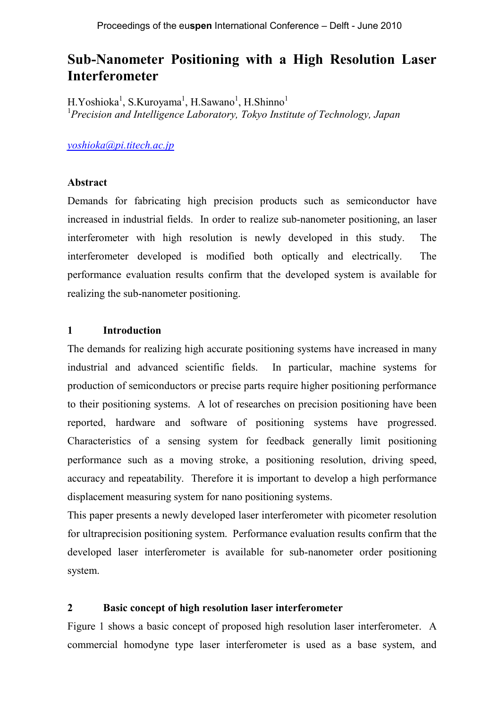# **Sub-Nanometer Positioning with a High Resolution Laser Interferometer**

H.Yoshioka<sup>1</sup>, S.Kuroyama<sup>1</sup>, H.Sawano<sup>1</sup>, H.Shinno<sup>1</sup> <sup>1</sup>*Precision and Intelligence Laboratory, Tokyo Institute of Technology, Japan*

*yoshioka@pi.titech.ac.jp*

#### **Abstract**

Demands for fabricating high precision products such as semiconductor have increased in industrial fields. In order to realize sub-nanometer positioning, an laser interferometer with high resolution is newly developed in this study. The interferometer developed is modified both optically and electrically. The performance evaluation results confirm that the developed system is available for realizing the sub-nanometer positioning.

### **1 Introduction**

The demands for realizing high accurate positioning systems have increased in many industrial and advanced scientific fields. In particular, machine systems for production of semiconductors or precise parts require higher positioning performance to their positioning systems. A lot of researches on precision positioning have been reported, hardware and software of positioning systems have progressed. Characteristics of a sensing system for feedback generally limit positioning performance such as a moving stroke, a positioning resolution, driving speed, accuracy and repeatability. Therefore it is important to develop a high performance displacement measuring system for nano positioning systems.

This paper presents a newly developed laser interferometer with picometer resolution for ultraprecision positioning system. Performance evaluation results confirm that the developed laser interferometer is available for sub-nanometer order positioning system.

#### **2 Basic concept of high resolution laser interferometer**

Figure 1 shows a basic concept of proposed high resolution laser interferometer. A commercial homodyne type laser interferometer is used as a base system, and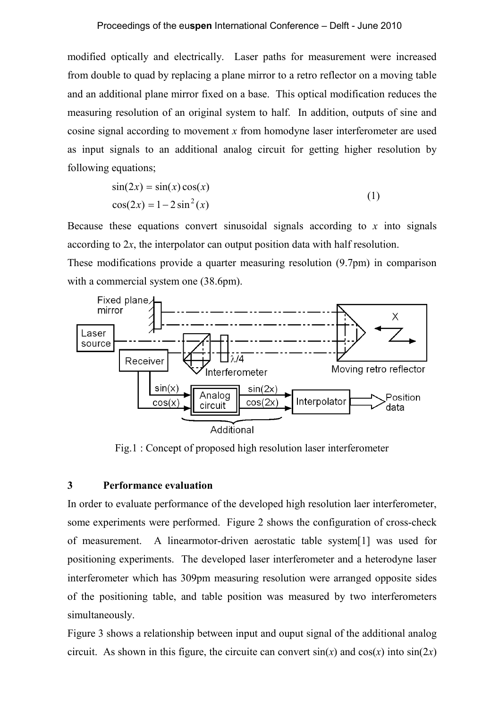modified optically and electrically. Laser paths for measurement were increased from double to quad by replacing a plane mirror to a retro reflector on a moving table and an additional plane mirror fixed on a base. This optical modification reduces the measuring resolution of an original system to half. In addition, outputs of sine and cosine signal according to movement *x* from homodyne laser interferometer are used as input signals to an additional analog circuit for getting higher resolution by following equations;

$$
\sin(2x) = \sin(x)\cos(x)
$$
  
\n
$$
\cos(2x) = 1 - 2\sin^2(x)
$$
\n(1)

Because these equations convert sinusoidal signals according to *x* into signals according to 2*x*, the interpolator can output position data with half resolution.

These modifications provide a quarter measuring resolution (9.7pm) in comparison with a commercial system one (38.6pm).



Fig.1 : Concept of proposed high resolution laser interferometer

## **3 Performance evaluation**

In order to evaluate performance of the developed high resolution laer interferometer, some experiments were performed. Figure 2 shows the configuration of cross-check of measurement. A linearmotor-driven aerostatic table system[1] was used for positioning experiments. The developed laser interferometer and a heterodyne laser interferometer which has 309pm measuring resolution were arranged opposite sides of the positioning table, and table position was measured by two interferometers simultaneously.

Figure 3 shows a relationship between input and ouput signal of the additional analog circuit. As shown in this figure, the circuite can convert  $sin(x)$  and  $cos(x)$  into  $sin(2x)$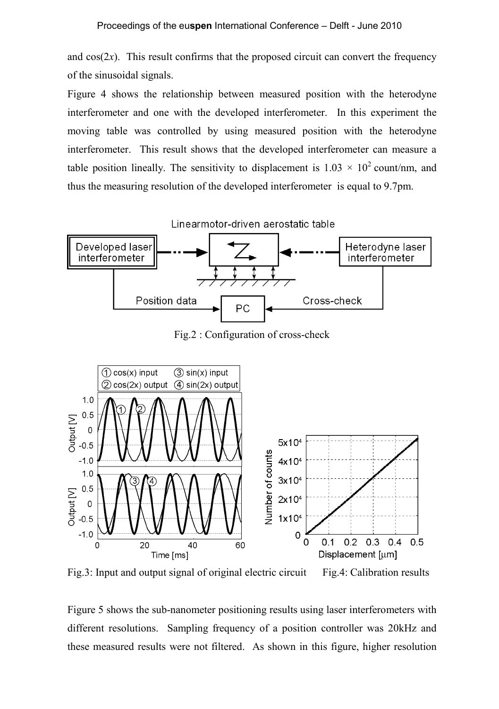and  $cos(2x)$ . This result confirms that the proposed circuit can convert the frequency of the sinusoidal signals.

Figure 4 shows the relationship between measured position with the heterodyne interferometer and one with the developed interferometer. In this experiment the moving table was controlled by using measured position with the heterodyne interferometer. This result shows that the developed interferometer can measure a table position lineally. The sensitivity to displacement is  $1.03 \times 10^2$  count/nm, and thus the measuring resolution of the developed interferometer is equal to 9.7pm.



Fig.2 : Configuration of cross-check



Fig.3: Input and output signal of original electric circuit Fig.4: Calibration results

Figure 5 shows the sub-nanometer positioning results using laser interferometers with different resolutions. Sampling frequency of a position controller was 20kHz and these measured results were not filtered. As shown in this figure, higher resolution